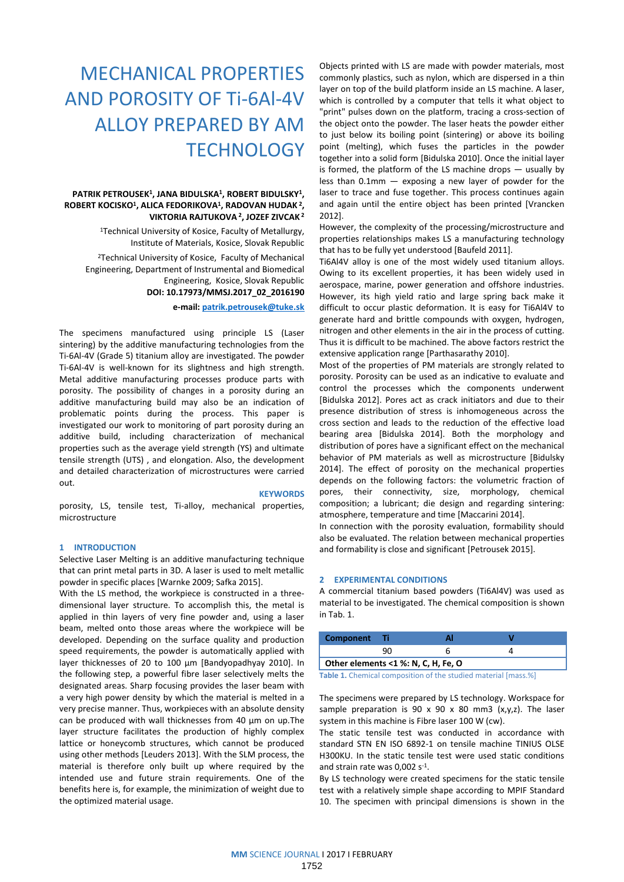# MECHANICAL PROPERTIES AND POROSITY OF Ti-6Al-4V ALLOY PREPARED BY AM **TECHNOLOGY**

# **PATRIK PETROUSEK<sup>1</sup> , JANA BIDULSKA<sup>1</sup> , ROBERT BIDULSKY<sup>1</sup> , ROBERT KOCISKO<sup>1</sup> , ALICA FEDORIKOVA<sup>1</sup> , RADOVAN HUDAK 2 , VIKTORIA RAJTUKOVA <sup>2</sup> , JOZEF ZIVCAK 2**

<sup>1</sup>Technical University of Kosice, Faculty of Metallurgy, Institute of Materials, Kosice, Slovak Republic

<sup>2</sup>Technical University of Kosice, Faculty of Mechanical Engineering, Department of Instrumental and Biomedical Engineering, Kosice, Slovak Republic **DOI: 10.17973/MMSJ.2017\_02\_2016190**

**e-mail: [patrik.petrousek@tuke.sk](mailto:patrik.petrousek@tuke.sk)**

The specimens manufactured using principle LS (Laser sintering) by the additive manufacturing technologies from the Ti-6Al-4V (Grade 5) titanium alloy are investigated. The powder Ti-6Al-4V is well-known for its slightness and high strength. Metal additive manufacturing processes produce parts with porosity. The possibility of changes in a porosity during an additive manufacturing build may also be an indication of problematic points during the process. This paper is investigated our work to monitoring of part porosity during an additive build, including characterization of mechanical properties such as the average yield strength (YS) and ultimate tensile strength (UTS) , and elongation. Also, the development and detailed characterization of microstructures were carried out.

#### **KEYWORDS**

porosity, LS, tensile test, Ti-alloy, mechanical properties, microstructure

### **1 INTRODUCTION**

Selective Laser Melting is an additive manufacturing technique that can print metal parts in 3D. A laser is used to melt metallic powder in specific places [Warnke 2009; Safka 2015].

With the LS method, the workpiece is constructed in a threedimensional layer structure. To accomplish this, the metal is applied in thin layers of very fine powder and, using a laser beam, melted onto those areas where the workpiece will be developed. Depending on the surface quality and production speed requirements, the powder is automatically applied with layer thicknesses of 20 to 100 µm [Bandyopadhyay 2010]. In the following step, a powerful fibre laser selectively melts the designated areas. Sharp focusing provides the laser beam with a very high power density by which the material is melted in a very precise manner. Thus, workpieces with an absolute density can be produced with wall thicknesses from 40 µm on up.The layer structure facilitates the production of highly complex lattice or honeycomb structures, which cannot be produced using other methods [Leuders 2013]. With the SLM process, the material is therefore only built up where required by the intended use and future strain requirements. One of the benefits here is, for example, the minimization of weight due to the optimized material usage.

Objects printed with LS are made with powder materials, most commonly plastics, such as nylon, which are dispersed in a thin layer on top of the build platform inside an LS machine. A laser, which is controlled by a computer that tells it what object to "print" pulses down on the platform, tracing a cross-section of the object onto the powder. The laser heats the powder either to just below its boiling point (sintering) or above its boiling point (melting), which fuses the particles in the powder together into a solid form [Bidulska 2010]. Once the initial layer is formed, the platform of the LS machine drops — usually by less than  $0.1$ mm  $-$  exposing a new layer of powder for the laser to trace and fuse together. This process continues again and again until the entire object has been printed [Vrancken 2012].

However, the complexity of the processing/microstructure and properties relationships makes LS a manufacturing technology that has to be fully yet understood [Baufeld 2011].

Ti6Al4V alloy is one of the most widely used titanium alloys. Owing to its excellent properties, it has been widely used in aerospace, marine, power generation and offshore industries. However, its high yield ratio and large spring back make it difficult to occur plastic deformation. It is easy for Ti6Al4V to generate hard and brittle compounds with oxygen, hydrogen, nitrogen and other elements in the air in the process of cutting. Thus it is difficult to be machined. The above factors restrict the extensive application range [Parthasarathy 2010].

Most of the properties of PM materials are strongly related to porosity. Porosity can be used as an indicative to evaluate and control the processes which the components underwent [Bidulska 2012]. Pores act as crack initiators and due to their presence distribution of stress is inhomogeneous across the cross section and leads to the reduction of the effective load bearing area [Bidulska 2014]. Both the morphology and distribution of pores have a significant effect on the mechanical behavior of PM materials as well as microstructure [Bidulsky 2014]. The effect of porosity on the mechanical properties depends on the following factors: the volumetric fraction of pores, their connectivity, size, morphology, chemical composition; a lubricant; die design and regarding sintering: atmosphere, temperature and time [Maccarini 2014].

In connection with the porosity evaluation, formability should also be evaluated. The relation between mechanical properties and formability is close and significant [Petrousek 2015].

### **2 EXPERIMENTAL CONDITIONS**

A commercial titanium based powders (Ti6Al4V) was used as material to be investigated. The chemical composition is shown in Tab. 1.

| Component Ti                        |  |  |  |  |  |  |
|-------------------------------------|--|--|--|--|--|--|
|                                     |  |  |  |  |  |  |
| Other elements <1 %: N, C, H, Fe, O |  |  |  |  |  |  |

**Table 1.** Chemical composition of the studied material [mass.%]

The specimens were prepared by LS technology. Workspace for sample preparation is 90 x 90 x 80 mm3  $(x,y,z)$ . The laser system in this machine is Fibre laser 100 W (cw).

The static tensile test was conducted in accordance with standard STN EN ISO 6892-1 on tensile machine TINIUS OLSE H300KU. In the static tensile test were used static conditions and strain rate was 0,002 s-1 .

By LS technology were created specimens for the static tensile test with a relatively simple shape according to MPIF Standard 10. The specimen with principal dimensions is shown in the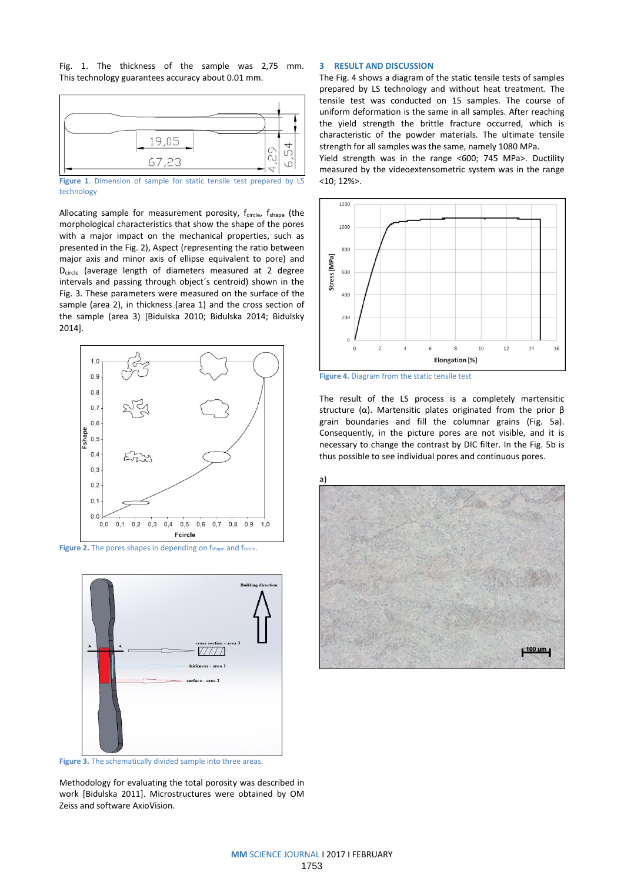Fig. 1. The thickness of the sample was 2,75 mm. This technology guarantees accuracy about 0.01 mm.



**Figure 1**. Dimension of sample for static tensile test prepared by LS technology

Allocating sample for measurement porosity,  $f_{circle}$ ,  $f_{shape}$  (the morphological characteristics that show the shape of the pores with a major impact on the mechanical properties, such as presented in the Fig. 2), Aspect (representing the ratio between major axis and minor axis of ellipse equivalent to pore) and Dcircle (average length of diameters measured at 2 degree intervals and passing through object´s centroid) shown in the Fig. 3. These parameters were measured on the surface of the sample (area 2), in thickness (area 1) and the cross section of the sample (area 3) [Bidulska 2010; Bidulska 2014; Bidulsky 2014].



Figure 2. The pores shapes in depending on f<sub>shape</sub> and fcircle.



**Figure 3.** The schematically divided sample into three areas.

Methodology for evaluating the total porosity was described in work [Bidulska 2011]. Microstructures were obtained by OM Zeiss and software AxioVision.

## **3 RESULT AND DISCUSSION**

The Fig. 4 shows a diagram of the static tensile tests of samples prepared by LS technology and without heat treatment. The tensile test was conducted on 15 samples. The course of uniform deformation is the same in all samples. After reaching the yield strength the brittle fracture occurred, which is characteristic of the powder materials. The ultimate tensile strength for all samples was the same, namely 1080 MPa.

Yield strength was in the range <600; 745 MPa>. Ductility measured by the videoextensometric system was in the range <10; 12%>.



**Figure 4.** Diagram from the static tensile test

The result of the LS process is a completely martensitic structure (α). Martensitic plates originated from the prior β grain boundaries and fill the columnar grains (Fig. 5a). Consequently, in the picture pores are not visible, and it is necessary to change the contrast by DIC filter. In the Fig. 5b is thus possible to see individual pores and continuous pores.

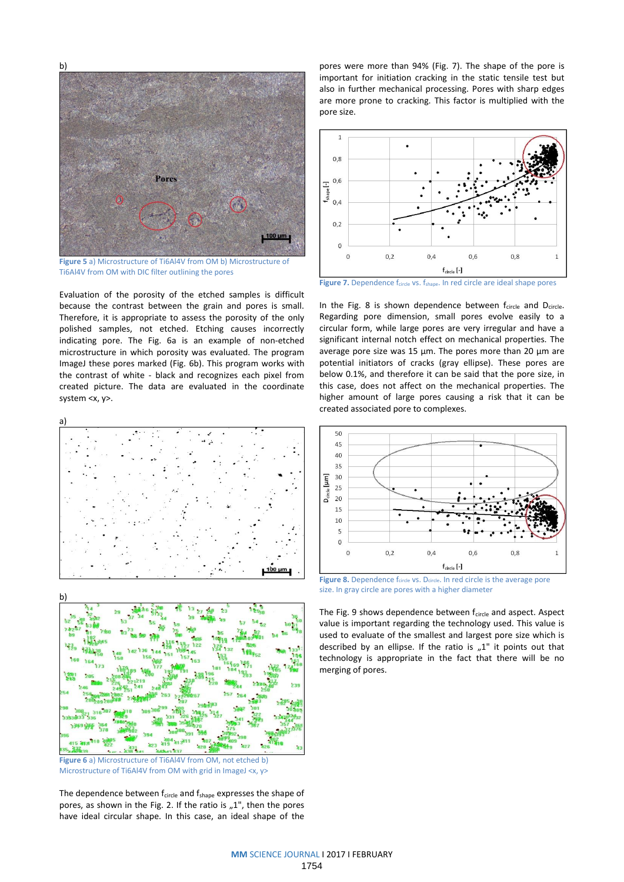

**Figure 5** a) Microstructure of Ti6Al4V from OM b) Microstructure of Ti6Al4V from OM with DIC filter outlining the pores

Evaluation of the porosity of the etched samples is difficult because the contrast between the grain and pores is small. Therefore, it is appropriate to assess the porosity of the only polished samples, not etched. Etching causes incorrectly indicating pore. The Fig. 6a is an example of non-etched microstructure in which porosity was evaluated. The program ImageJ these pores marked (Fig. 6b). This program works with the contrast of white - black and recognizes each pixel from created picture. The data are evaluated in the coordinate system <x, y>.





**Figure 6** a) Microstructure of Ti6Al4V from OM, not etched b) Microstructure of Ti6Al4V from OM with grid in ImageJ <x, y>

The dependence between  $f_{\text{circle}}$  and  $f_{\text{shape}}$  expresses the shape of pores, as shown in the Fig. 2. If the ratio is  $n^1$ , then the pores have ideal circular shape. In this case, an ideal shape of the

pores were more than 94% (Fig. 7). The shape of the pore is important for initiation cracking in the static tensile test but also in further mechanical processing. Pores with sharp edges are more prone to cracking. This factor is multiplied with the pore size.



**Figure 7.** Dependence f<sub>circle</sub> vs. f<sub>shape</sub>. In red circle are ideal shape pores

In the Fig. 8 is shown dependence between  $f_{\text{circle}}$  and  $D_{\text{circle}}$ . Regarding pore dimension, small pores evolve easily to a circular form, while large pores are very irregular and have a significant internal notch effect on mechanical properties. The average pore size was 15 μm. The pores more than 20 μm are potential initiators of cracks (gray ellipse). These pores are below 0.1%, and therefore it can be said that the pore size, in this case, does not affect on the mechanical properties. The higher amount of large pores causing a risk that it can be created associated pore to complexes.



**Figure 8.** Dependence f<sub>circle</sub> vs. D<sub>circle</sub>. In red circle is the average pore size. In gray circle are pores with a higher diameter

The Fig. 9 shows dependence between  $f_{\text{circle}}$  and aspect. Aspect value is important regarding the technology used. This value is used to evaluate of the smallest and largest pore size which is described by an ellipse. If the ratio is  $n^2$  it points out that technology is appropriate in the fact that there will be no merging of pores.